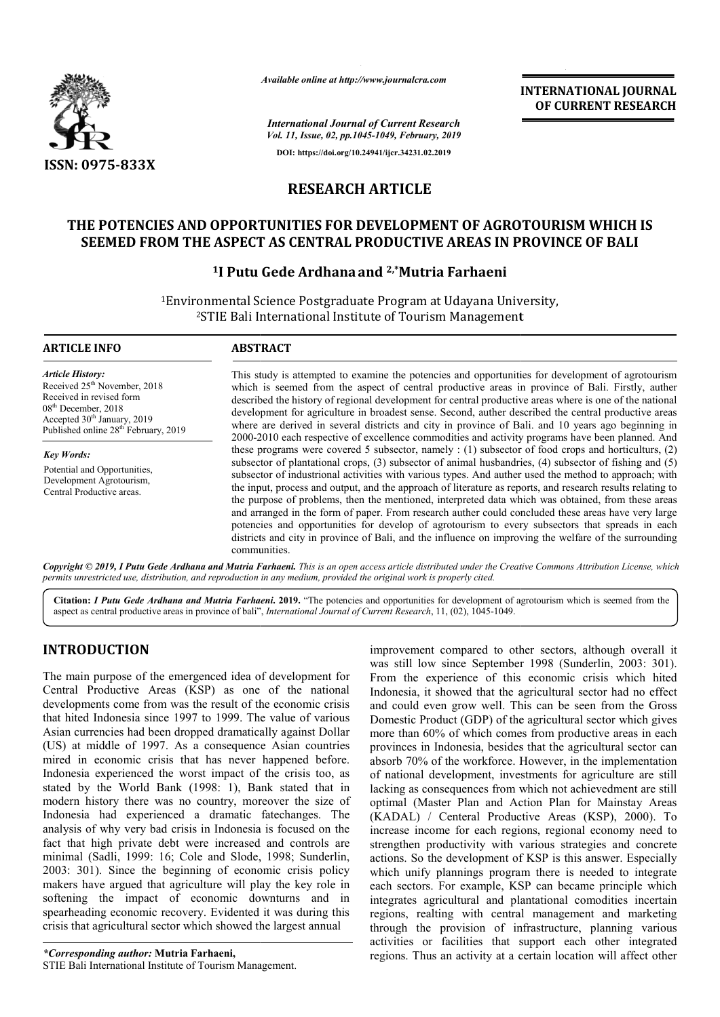

*Available online at http://www.journalcra.com*

**OF CURRENT RESEARCH**

*International Journal of Current Research Vol. 11, Issue, 02, pp.1045-1049, February, 2019* **DOI: https://doi.org/10.24941/ijcr.34231.02.2019**

# **RESEARCH ARTICLE**

## **THE POTENCIES AND OPPORTUNITIES FOR DEVELOPMENT OF AGROTOURISM WHICH IS SEEMED FROM THE ASPECT AS CENTRAL PRODUCTIVE AREAS IN PROVINCE THE WHICH IS CENTRAL PRODUCTIVE OF BALI**

## <sup>1</sup>I Putu Gede Ardhana and <sup>2,\*</sup>Mutria Farhaeni

<sup>1</sup>Environmental Science Postgraduate Program at Udayana University,<br><sup>2</sup>STIE Bali International Institute of Tourism Management <sup>2</sup>STIE Bali International Institute of Tourism Management

#### **ARTICLE INFO ABSTRACT**

*Article History:* Received 25<sup>th</sup> November, 2018 Received in revised form 08th December, 2018 Accepted 30<sup>th</sup> January, 2019 Published online 28<sup>th</sup> February, 2019

*Key Words:* Potential and Opportunities, Development Agrotourism, Central Productive areas.

This study is attempted to examine the potencies and opportunities for development of agrotourism which is seemed from the aspect of central productive areas in province of Bali. Firstly, auther described the history of regional development for central productive areas where is one of the national development for agriculture in broadest sense. Second, auther described the central productive areas where are derived in several districts and city in province of Bali. 2000-2010 each respective of excellence commodities and activity programs have been planned. And these programs were covered 5 subsector, namely : (1) subsector of food crops and horticulturs, (2) 2000-2010 each respective of excellence commodities and activity programs have been planned. And these programs were covered 5 subsector, namely : (1) subsector of food crops and horticulturs, (2) subsector of plantational subsector of industrional activities with various types. And auther used the method to approach; with the input, process and output, and the approach of literature as reports, and research result the purpose of problems, then the mentioned, interpreted data which was obtained, from these areas and arranged in the form of paper. From research auther could concluded these areas have very large potencies and opportunities for develop of agrotourism to every subsectors that spreads in each districts and city in province of Bali, and the influence on improving the welfare of the surrounding communities. This study is attempted to examine the potencies and opportunities for development of agrotourism which is seemed from the aspect of central productive areas in province of Bali. Firstly, auther described the history of re these programs were covered 5 subsector, namely : (1) subsector of food crops and horticulturs, (2) subsector of plantational crops, (3) subsector of animal husbandries, (4) subsector of fishing and (5) subsector of indust the purpose of problems, then the mentioned, interpreted data which was obtained, from these areas and arranged in the form of paper. From research auther could concluded these areas have very large potencies and opportuni

**Copyright © 2019, I Putu Gede Ardhana and Mutria Farhaeni.** This is an open access article distributed under the Creative Commons Attribution License, which permits unrestricted use, distribution, and reproduction in any medium, provided the original work is properly cited.

Citation: *I Putu Gede Ardhana and Mutria Farhaeni*. 2019. "The potencies and opportunities for development of agrotourism which is seemed from the aspect as central productive areas in province of bali", *International Journal of Current Research*, 11, (02), 1045-1049.

## **INTRODUCTION**

The main purpose of the emergenced idea of development for Central Productive Areas (KSP) as one of the national developments come from was the result of the economic crisis that hited Indonesia since 1997 to 1999. The value of various Asian currencies had been dropped dramatically against Dollar (US) at middle of 1997. As a consequence Asian countries mired in economic crisis that has never happened before. Indonesia experienced the worst impact of the crisis too, as stated by the World Bank (1998: 1), Bank stated that in modern history there was no country, moreover the size of Indonesia had experienced a dramatic fatechanges. The analysis of why very bad crisis in Indonesia is focused on the fact that high private debt were increased and controls are minimal (Sadli, 1999: 16; Cole and Slode, 1998; Sunderlin, 2003: 301). Since the beginning of economic crisis policy makers have argued that agriculture will play the key role in softening the impact of economic downturns and in spearheading economic recovery. Evidented it was during this crisis that agricultural sector which showed the largest annual onomic downturn:<br>7. Evidented it was<br>ch showed the large<br>**Thaeni,**<br>Fourism Management.

*\*Corresponding author:* **Mutria Farhaeni,** STIE Bali International Institute of Tourism Management improvement compared to other sectors, although overall it was still low since September 1998 (Sunderlin, 2003: 301). From the experience of this economic crisis which hited Indonesia, it showed that the agricultural sector had no effect and could even grow well. This can be seen from the Gross Domestic Product (GDP) of the agricultural sector which gives more than 60% of which comes from productive areas in each provinces in Indonesia, besides that the agricultural sector can absorb 70% of the workforce. However, in the implementation of national development, investments for agriculture are still lacking as consequences from which not achievedment are still optimal (Master Plan and Action Plan for Mainstay Areas (KADAL) / Centeral Productive Areas (KSP), 20 increase income for each regions, regional economy need to strengthen productivity with various strategies and concrete strengthen productivity with various strategies and concrete actions. So the development of KSP is this answer. Especially which unify plannings program there is needed to integrate each sectors. For example, KSP can became principle which integrates agricultural and plantational comodities incertain regions, realting with central management and marketing through the provision of infrastructure, planning various activities or facilities that support each other integrated regions. Thus an activity at a certain location will affect other sectors, although overall it ill low since September 1998 (Sunderlin, 2003: 301).<br>the experience of this economic crisis which hited<br>sia, it showed that the agricultural sector had no effect<br>uld even grow well. This can be is consequences from which not achievedment are still<br>(Master Plan and Action Plan for Mainstay Areas<br>.) / Centeral Productive Areas (KSP), 2000). To **CUTRERNATIONAL JOURNAL JOURNAL JOURNAL SOURCE (CHENET RESEARCHE)**<br> **CONVERT RESEARCHEST CONVERTS (CHENET PRESEARCHEST)**<br> **ARTICLE**<br> **CVELOPMENT OF AGROTOURISM WHICH IS CODUCTIVE AREAS IN PROVINCE OF BALI<br>
and 2<sup>2</sup> Muttria**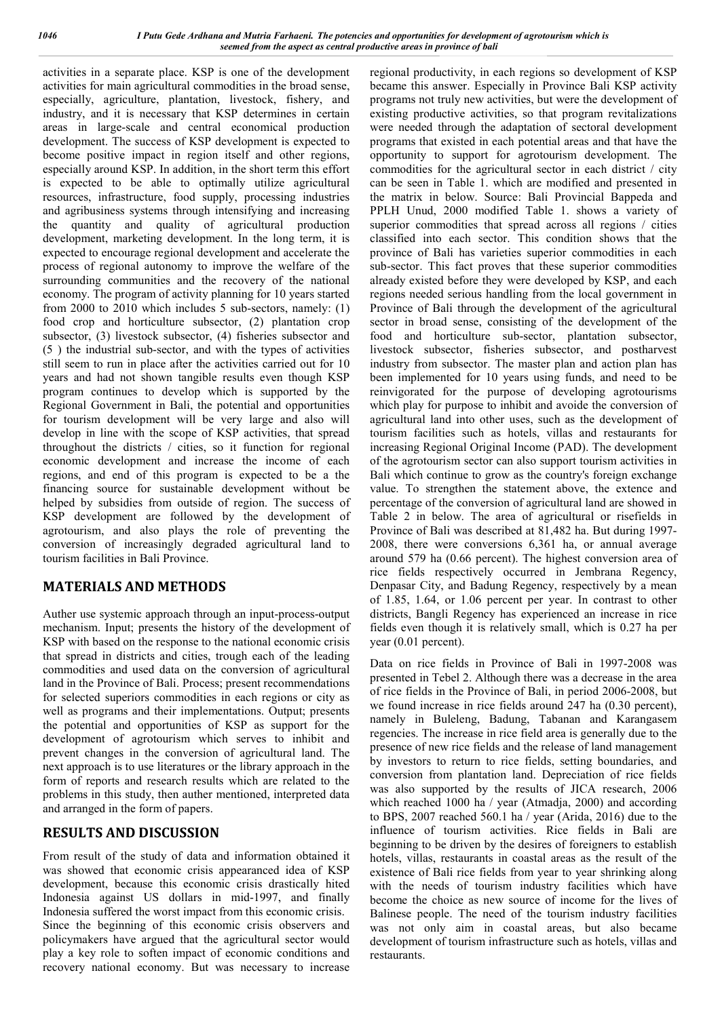activities in a separate place. KSP is one of the development activities for main agricultural commodities in the broad sense, especially, agriculture, plantation, livestock, fishery, and industry, and it is necessary that KSP determines in certain areas in large-scale and central economical production development. The success of KSP development is expected to become positive impact in region itself and other regions, especially around KSP. In addition, in the short term this effort is expected to be able to optimally utilize agricultural resources, infrastructure, food supply, processing industries and agribusiness systems through intensifying and increasing the quantity and quality of agricultural production development, marketing development. In the long term, it is expected to encourage regional development and accelerate the process of regional autonomy to improve the welfare of the surrounding communities and the recovery of the national economy. The program of activity planning for 10 years started from 2000 to 2010 which includes 5 sub-sectors, namely: (1) food crop and horticulture subsector, (2) plantation crop subsector, (3) livestock subsector, (4) fisheries subsector and (5 ) the industrial sub-sector, and with the types of activities still seem to run in place after the activities carried out for 10 years and had not shown tangible results even though KSP program continues to develop which is supported by the Regional Government in Bali, the potential and opportunities for tourism development will be very large and also will develop in line with the scope of KSP activities, that spread throughout the districts / cities, so it function for regional economic development and increase the income of each regions, and end of this program is expected to be a the financing source for sustainable development without be helped by subsidies from outside of region. The success of KSP development are followed by the development of agrotourism, and also plays the role of preventing the conversion of increasingly degraded agricultural land to tourism facilities in Bali Province.

## **MATERIALS AND METHODS**

Auther use systemic approach through an input-process-output mechanism. Input; presents the history of the development of KSP with based on the response to the national economic crisis that spread in districts and cities, trough each of the leading commodities and used data on the conversion of agricultural land in the Province of Bali. Process; present recommendations for selected superiors commodities in each regions or city as well as programs and their implementations. Output; presents the potential and opportunities of KSP as support for the development of agrotourism which serves to inhibit and prevent changes in the conversion of agricultural land. The next approach is to use literatures or the library approach in the form of reports and research results which are related to the problems in this study, then auther mentioned, interpreted data and arranged in the form of papers.

## **RESULTS AND DISCUSSION**

From result of the study of data and information obtained it was showed that economic crisis appearanced idea of KSP development, because this economic crisis drastically hited Indonesia against US dollars in mid-1997, and finally Indonesia suffered the worst impact from this economic crisis. Since the beginning of this economic crisis observers and policymakers have argued that the agricultural sector would play a key role to soften impact of economic conditions and recovery national economy. But was necessary to increase

regional productivity, in each regions so development of KSP became this answer. Especially in Province Bali KSP activity programs not truly new activities, but were the development of existing productive activities, so that program revitalizations were needed through the adaptation of sectoral development programs that existed in each potential areas and that have the opportunity to support for agrotourism development. The commodities for the agricultural sector in each district / city can be seen in Table 1. which are modified and presented in the matrix in below. Source: Bali Provincial Bappeda and PPLH Unud, 2000 modified Table 1. shows a variety of superior commodities that spread across all regions / cities classified into each sector. This condition shows that the province of Bali has varieties superior commodities in each sub-sector. This fact proves that these superior commodities already existed before they were developed by KSP, and each regions needed serious handling from the local government in Province of Bali through the development of the agricultural sector in broad sense, consisting of the development of the food and horticulture sub-sector, plantation subsector, livestock subsector, fisheries subsector, and postharvest industry from subsector. The master plan and action plan has been implemented for 10 years using funds, and need to be reinvigorated for the purpose of developing agrotourisms which play for purpose to inhibit and avoide the conversion of agricultural land into other uses, such as the development of tourism facilities such as hotels, villas and restaurants for increasing Regional Original Income (PAD). The development of the agrotourism sector can also support tourism activities in Bali which continue to grow as the country's foreign exchange value. To strengthen the statement above, the extence and percentage of the conversion of agricultural land are showed in Table 2 in below. The area of agricultural or risefields in Province of Bali was described at 81,482 ha. But during 1997- 2008, there were conversions 6,361 ha, or annual average around 579 ha (0.66 percent). The highest conversion area of rice fields respectively occurred in Jembrana Regency, Denpasar City, and Badung Regency, respectively by a mean of 1.85, 1.64, or 1.06 percent per year. In contrast to other districts, Bangli Regency has experienced an increase in rice fields even though it is relatively small, which is 0.27 ha per year (0.01 percent).

Data on rice fields in Province of Bali in 1997-2008 was presented in Tebel 2. Although there was a decrease in the area of rice fields in the Province of Bali, in period 2006-2008, but we found increase in rice fields around 247 ha (0.30 percent), namely in Buleleng, Badung, Tabanan and Karangasem regencies. The increase in rice field area is generally due to the presence of new rice fields and the release of land management by investors to return to rice fields, setting boundaries, and conversion from plantation land. Depreciation of rice fields was also supported by the results of JICA research, 2006 which reached 1000 ha / year (Atmadja, 2000) and according to BPS, 2007 reached 560.1 ha / year (Arida, 2016) due to the influence of tourism activities. Rice fields in Bali are beginning to be driven by the desires of foreigners to establish hotels, villas, restaurants in coastal areas as the result of the existence of Bali rice fields from year to year shrinking along with the needs of tourism industry facilities which have become the choice as new source of income for the lives of Balinese people. The need of the tourism industry facilities was not only aim in coastal areas, but also became development of tourism infrastructure such as hotels, villas and restaurants.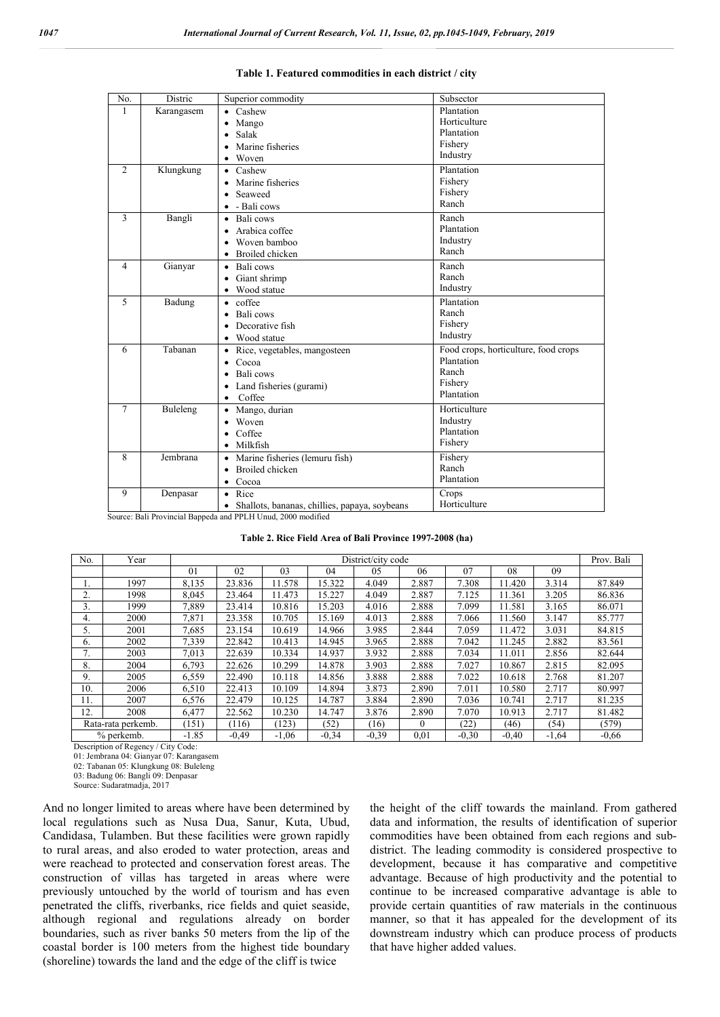| No.            | Distric    | Superior commodity                                         | Subsector                            |
|----------------|------------|------------------------------------------------------------|--------------------------------------|
| $\mathbf{1}$   | Karangasem | $\bullet$ Cashew                                           | Plantation                           |
|                |            | Mango                                                      | Horticulture                         |
|                |            | Salak                                                      | Plantation                           |
|                |            | Marine fisheries                                           | Fishery                              |
|                |            | • Woven                                                    | Industry                             |
| $\overline{c}$ | Klungkung  | $\bullet$ Cashew                                           | Plantation                           |
|                |            | • Marine fisheries                                         | Fishery                              |
|                |            | • Seaweed                                                  | Fishery                              |
|                |            | $\bullet$ - Bali cows                                      | Ranch                                |
| 3              | Bangli     | • Bali cows                                                | Ranch                                |
|                |            | • Arabica coffee                                           | Plantation                           |
|                |            | • Woven bamboo                                             | Industry                             |
|                |            | • Broiled chicken                                          | Ranch                                |
| $\overline{4}$ | Gianyar    | • Bali cows                                                | Ranch                                |
|                |            | Giant shrimp                                               | Ranch                                |
|                |            | • Wood statue                                              | Industry                             |
| 5              | Badung     | $\bullet$ coffee                                           | Plantation                           |
|                |            | Bali cows                                                  | Ranch                                |
|                |            | Decorative fish<br>$\bullet$                               | Fishery                              |
|                |            | Wood statue<br>$\bullet$                                   | Industry                             |
| 6              | Tabanan    | • Rice, vegetables, mangosteen                             | Food crops, horticulture, food crops |
|                |            | $\bullet$ Cocoa                                            | Plantation                           |
|                |            | • Bali cows                                                | Ranch                                |
|                |            | Land fisheries (gurami)                                    | Fishery                              |
|                |            | Coffee<br>$\bullet$                                        | Plantation                           |
| 7              | Buleleng   | Mango, durian<br>$\bullet$                                 | Horticulture                         |
|                |            | • Woven                                                    | Industry                             |
|                |            | Coffee<br>$\bullet$                                        | Plantation                           |
|                |            | $\bullet$ Milkfish                                         | Fishery                              |
| 8              | Jembrana   | • Marine fisheries (lemuru fish)                           | Fishery                              |
|                |            | Broiled chicken                                            | Ranch                                |
|                |            | • Cocoa                                                    | Plantation                           |
| 9              | Denpasar   | • Rice                                                     | Crops                                |
|                |            | Shallots, bananas, chillies, papaya, soybeans<br>$\bullet$ | Horticulture                         |

#### **Table 1. Featured commodities in each district / city**

Source: Bali Provincial Bappeda and PPLH Unud, 2000 modified

#### **Table 2. Rice Field Area of Bali Province 1997-2008 (ha)**

| No.                | Year | District/city code |         |         |         |         |          | Prov. Bali |         |         |         |
|--------------------|------|--------------------|---------|---------|---------|---------|----------|------------|---------|---------|---------|
|                    |      | 01                 | 02      | 03      | 04      | 05      | 06       | 07         | 08      | 09      |         |
|                    | 1997 | 8,135              | 23.836  | 11.578  | 15.322  | 4.049   | 2.887    | 7.308      | 11.420  | 3.314   | 87.849  |
| 2.                 | 1998 | 8.045              | 23.464  | 11.473  | 15.227  | 4.049   | 2.887    | 7.125      | 11.361  | 3.205   | 86.836  |
| 3.                 | 1999 | 7,889              | 23.414  | 10.816  | 15.203  | 4.016   | 2.888    | 7.099      | 11.581  | 3.165   | 86.071  |
| 4.                 | 2000 | 7,871              | 23.358  | 10.705  | 15.169  | 4.013   | 2.888    | 7.066      | 11.560  | 3.147   | 85.777  |
| 5.                 | 2001 | 7,685              | 23.154  | 10.619  | 14.966  | 3.985   | 2.844    | 7.059      | 11.472  | 3.031   | 84.815  |
| 6.                 | 2002 | 7,339              | 22.842  | 10.413  | 14.945  | 3.965   | 2.888    | 7.042      | 11.245  | 2.882   | 83.561  |
| 7.                 | 2003 | 7.013              | 22.639  | 10.334  | 14.937  | 3.932   | 2.888    | 7.034      | 11.011  | 2.856   | 82.644  |
| 8.                 | 2004 | 6,793              | 22.626  | 10.299  | 14.878  | 3.903   | 2.888    | 7.027      | 10.867  | 2.815   | 82.095  |
| 9.                 | 2005 | 6,559              | 22.490  | 10.118  | 14.856  | 3.888   | 2.888    | 7.022      | 10.618  | 2.768   | 81.207  |
| 10.                | 2006 | 6,510              | 22.413  | 10.109  | 14.894  | 3.873   | 2.890    | 7.011      | 10.580  | 2.717   | 80.997  |
| 11.                | 2007 | 6,576              | 22.479  | 10.125  | 14.787  | 3.884   | 2.890    | 7.036      | 10.741  | 2.717   | 81.235  |
| 12.                | 2008 | 6,477              | 22.562  | 10.230  | 14.747  | 3.876   | 2.890    | 7.070      | 10.913  | 2.717   | 81.482  |
| Rata-rata perkemb. |      | (151)              | (116)   | (123)   | (52)    | (16)    | $\theta$ | (22)       | (46)    | (54)    | (579)   |
| % perkemb.         |      | $-1.85$            | $-0,49$ | $-1,06$ | $-0.34$ | $-0.39$ | 0,01     | $-0.30$    | $-0,40$ | $-1,64$ | $-0.66$ |

Description of Regency / City Code:

01: Jembrana 04: Gianyar 07: Karangasem

02: Tabanan 05: Klungkung 08: Buleleng 03: Badung 06: Bangli 09: Denpasar

Source: Sudaratmadja, 2017

And no longer limited to areas where have been determined by local regulations such as Nusa Dua, Sanur, Kuta, Ubud, Candidasa, Tulamben. But these facilities were grown rapidly to rural areas, and also eroded to water protection, areas and were reachead to protected and conservation forest areas. The construction of villas has targeted in areas where were previously untouched by the world of tourism and has even penetrated the cliffs, riverbanks, rice fields and quiet seaside, although regional and regulations already on border boundaries, such as river banks 50 meters from the lip of the coastal border is 100 meters from the highest tide boundary (shoreline) towards the land and the edge of the cliff is twice

the height of the cliff towards the mainland. From gathered data and information, the results of identification of superior commodities have been obtained from each regions and subdistrict. The leading commodity is considered prospective to development, because it has comparative and competitive advantage. Because of high productivity and the potential to continue to be increased comparative advantage is able to provide certain quantities of raw materials in the continuous manner, so that it has appealed for the development of its downstream industry which can produce process of products that have higher added values.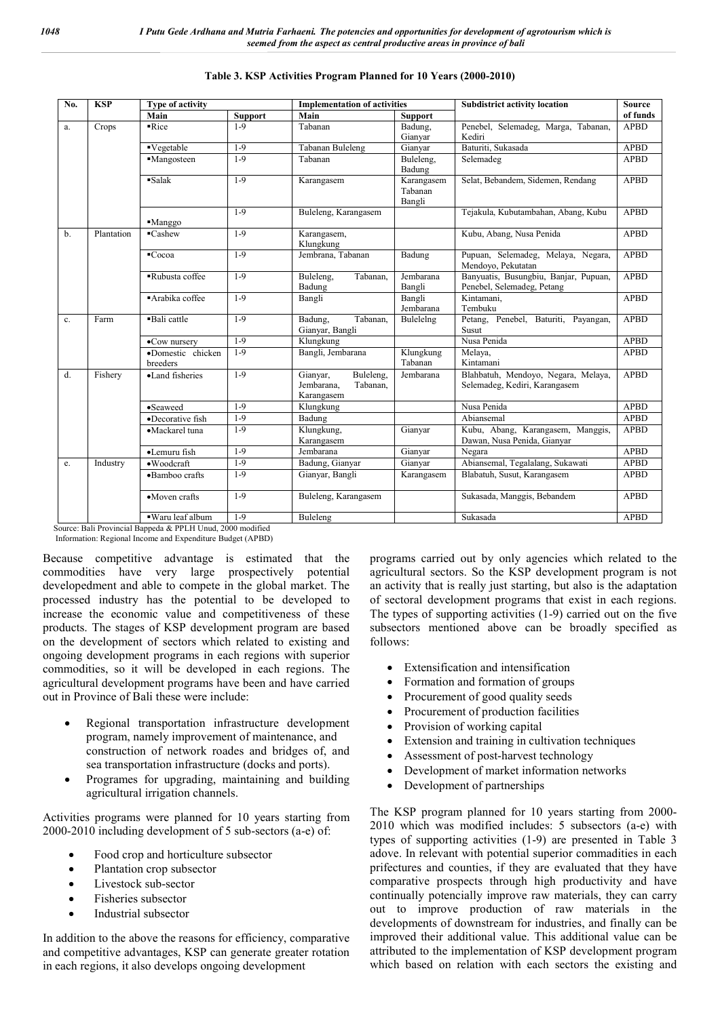| No. | <b>KSP</b> | Type of activity              |                | <b>Implementation of activities</b>                           |                                 | <b>Subdistrict activity location</b>                                 | <b>Source</b> |  |
|-----|------------|-------------------------------|----------------|---------------------------------------------------------------|---------------------------------|----------------------------------------------------------------------|---------------|--|
|     |            | Main                          | <b>Support</b> | Main                                                          | <b>Support</b>                  |                                                                      | of funds      |  |
| a.  | Crops      | $\overline{\text{Rice}}$      | $1-9$          | Tabanan                                                       | Badung,                         | Penebel, Selemadeg, Marga, Tabanan,                                  | <b>APBD</b>   |  |
|     |            |                               |                |                                                               | Gianyar                         | Kediri                                                               |               |  |
|     |            | ■Vegetable                    | $1-9$          | Tabanan Buleleng                                              | Gianvar                         | Baturiti, Sukasada                                                   | <b>APBD</b>   |  |
|     |            | ·Mangosteen                   | $1-9$          | Tabanan                                                       | Buleleng,<br>Badung             | Selemadeg                                                            | <b>APBD</b>   |  |
|     |            | $\overline{\text{Salak}}$     | $1-9$          | Karangasem                                                    | Karangasem<br>Tabanan<br>Bangli | Selat, Bebandem, Sidemen, Rendang                                    | <b>APBD</b>   |  |
|     |            | $M$ anggo                     | $1-9$          | Buleleng, Karangasem                                          |                                 | Tejakula, Kubutambahan, Abang, Kubu                                  | <b>APBD</b>   |  |
| $b$ | Plantation | $\blacksquare$ Cashew         | $1-9$          | Karangasem,<br>Klungkung                                      |                                 | Kubu, Abang, Nusa Penida                                             | <b>APBD</b>   |  |
|     |            | ■Cocoa                        | $1-9$          | Jembrana, Tabanan                                             | Badung                          | Pupuan, Selemadeg, Melaya, Negara,<br>Mendoyo, Pekutatan             | <b>APBD</b>   |  |
|     |            | Rubusta coffee                | $1-9$          | Buleleng,<br>Tabanan.<br>Badung                               | Jembarana<br>Bangli             | Banyuatis, Busungbiu, Banjar, Pupuan,<br>Penebel, Selemadeg, Petang  | <b>APBD</b>   |  |
|     |            | Arabika coffee                | $1-9$          | Bangli                                                        | Bangli<br>Jembarana             | Kintamani.<br>Tembuku                                                | <b>APBD</b>   |  |
| c.  | Farm       | Bali cattle                   | $1-9$          | Tabanan,<br>Badung,<br>Gianyar, Bangli                        | Bulelelng                       | Petang, Penebel, Baturiti, Payangan,<br>Susut                        | <b>APBD</b>   |  |
|     |            | •Cow nursery                  | $1-9$          | Klungkung                                                     |                                 | Nusa Penida                                                          | <b>APBD</b>   |  |
|     |            | ·Domestic chicken<br>breeders | $1-9$          | Bangli, Jembarana                                             | Klungkung<br>Tabanan            | Melaya,<br>Kintamani                                                 | <b>APBD</b>   |  |
| d.  | Fishery    | •Land fisheries               | $1-9$          | Buleleng,<br>Gianyar,<br>Jembarana.<br>Tabanan,<br>Karangasem | Jembarana                       | Blahbatuh, Mendoyo, Negara, Melaya,<br>Selemadeg, Kediri, Karangasem | <b>APBD</b>   |  |
|     |            | •Seaweed                      | $1-9$          | Klungkung                                                     |                                 | Nusa Penida                                                          | <b>APBD</b>   |  |
|     |            | ·Decorative fish              | $1-9$          | Badung                                                        |                                 | Abiansemal                                                           | <b>APBD</b>   |  |
|     |            | •Mackarel tuna                | $1-9$          | Klungkung,<br>Karangasem                                      | Gianyar                         | Kubu, Abang, Karangasem, Manggis,<br>Dawan, Nusa Penida, Gianyar     | <b>APBD</b>   |  |
|     |            | ·Lemuru fish                  | $1-9$          | Jembarana                                                     | Gianyar                         | Negara                                                               | <b>APBD</b>   |  |
| e.  | Industry   | ·Woodcraft                    | $1-9$          | Badung, Gianyar                                               | Gianyar                         | Abiansemal, Tegalalang, Sukawati                                     | <b>APBD</b>   |  |
|     |            | ·Bamboo crafts                | $1-9$          | Gianyar, Bangli                                               | Karangasem                      | Blabatuh, Susut, Karangasem                                          | <b>APBD</b>   |  |
|     |            | •Moven crafts                 | $1-9$          | Buleleng, Karangasem                                          |                                 | Sukasada, Manggis, Bebandem                                          | <b>APBD</b>   |  |
|     |            | · Waru leaf album             | $1-9$          | Buleleng                                                      |                                 | Sukasada                                                             | <b>APBD</b>   |  |

#### **Table 3. KSP Activities Program Planned for 10 Years (2000-2010)**

ource: Bali Provincial Bappeda & PPLH Unud, 2000 modified

Information: Regional Income and Expenditure Budget (APBD)

Because competitive advantage is estimated that the commodities have very large prospectively potential developedment and able to compete in the global market. The processed industry has the potential to be developed to increase the economic value and competitiveness of these products. The stages of KSP development program are based on the development of sectors which related to existing and ongoing development programs in each regions with superior commodities, so it will be developed in each regions. The agricultural development programs have been and have carried out in Province of Bali these were include:

- Regional transportation infrastructure development program, namely improvement of maintenance, and construction of network roades and bridges of, and sea transportation infrastructure (docks and ports).
- Programes for upgrading, maintaining and building agricultural irrigation channels.

Activities programs were planned for 10 years starting from 2000-2010 including development of 5 sub-sectors (a-e) of:

- Food crop and horticulture subsector
- Plantation crop subsector
- Livestock sub-sector
- Fisheries subsector
- Industrial subsector

In addition to the above the reasons for efficiency, comparative and competitive advantages, KSP can generate greater rotation in each regions, it also develops ongoing development

programs carried out by only agencies which related to the agricultural sectors. So the KSP development program is not an activity that is really just starting, but also is the adaptation of sectoral development programs that exist in each regions. The types of supporting activities (1-9) carried out on the five subsectors mentioned above can be broadly specified as follows:

- Extensification and intensification
- Formation and formation of groups
- Procurement of good quality seeds
- Procurement of production facilities
- Provision of working capital
- Extension and training in cultivation techniques
- Assessment of post-harvest technology
- Development of market information networks
- Development of partnerships

The KSP program planned for 10 years starting from 2000- 2010 which was modified includes: 5 subsectors (a-e) with types of supporting activities (1-9) are presented in Table 3 adove. In relevant with potential superior commadities in each prifectures and counties, if they are evaluated that they have comparative prospects through high productivity and have continually potencially improve raw materials, they can carry out to improve production of raw materials in the developments of downstream for industries, and finally can be improved their additional value. This additional value can be attributed to the implementation of KSP development program which based on relation with each sectors the existing and